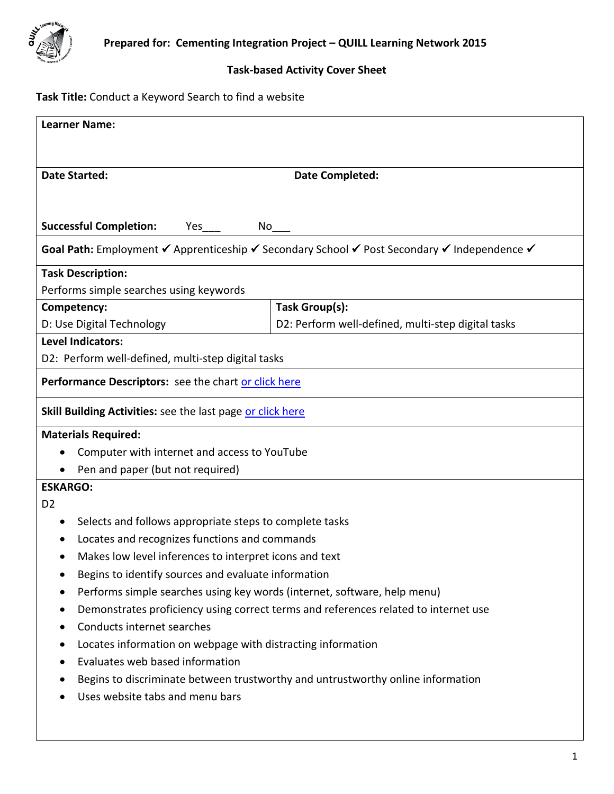

## **Task-based Activity Cover Sheet**

# **Task Title:** Conduct a Keyword Search to find a website

| <b>Learner Name:</b>                                                                             |                                                                                             |  |  |
|--------------------------------------------------------------------------------------------------|---------------------------------------------------------------------------------------------|--|--|
|                                                                                                  |                                                                                             |  |  |
| <b>Date Started:</b>                                                                             | <b>Date Completed:</b>                                                                      |  |  |
|                                                                                                  |                                                                                             |  |  |
|                                                                                                  |                                                                                             |  |  |
| <b>Successful Completion:</b><br>Yes<br>No                                                       |                                                                                             |  |  |
|                                                                                                  | Goal Path: Employment V Apprenticeship V Secondary School V Post Secondary V Independence V |  |  |
| <b>Task Description:</b>                                                                         |                                                                                             |  |  |
| Performs simple searches using keywords                                                          |                                                                                             |  |  |
| Competency:                                                                                      | Task Group(s):                                                                              |  |  |
| D: Use Digital Technology                                                                        | D2: Perform well-defined, multi-step digital tasks                                          |  |  |
| <b>Level Indicators:</b>                                                                         |                                                                                             |  |  |
| D2: Perform well-defined, multi-step digital tasks                                               |                                                                                             |  |  |
| Performance Descriptors: see the chart or click here                                             |                                                                                             |  |  |
| <b>Skill Building Activities:</b> see the last page or click here                                |                                                                                             |  |  |
| <b>Materials Required:</b>                                                                       |                                                                                             |  |  |
| Computer with internet and access to YouTube                                                     |                                                                                             |  |  |
| Pen and paper (but not required)<br>$\bullet$                                                    |                                                                                             |  |  |
| <b>ESKARGO:</b>                                                                                  |                                                                                             |  |  |
| D <sub>2</sub>                                                                                   |                                                                                             |  |  |
| Selects and follows appropriate steps to complete tasks<br>$\bullet$                             |                                                                                             |  |  |
| Locates and recognizes functions and commands                                                    |                                                                                             |  |  |
| Makes low level inferences to interpret icons and text                                           |                                                                                             |  |  |
| Begins to identify sources and evaluate information                                              |                                                                                             |  |  |
| Performs simple searches using key words (internet, software, help menu)<br>٠                    |                                                                                             |  |  |
| Demonstrates proficiency using correct terms and references related to internet use<br>$\bullet$ |                                                                                             |  |  |
| Conducts internet searches<br>٠                                                                  |                                                                                             |  |  |
| Locates information on webpage with distracting information<br>٠                                 |                                                                                             |  |  |
| Evaluates web based information<br>$\bullet$                                                     |                                                                                             |  |  |
| Begins to discriminate between trustworthy and untrustworthy online information<br>$\bullet$     |                                                                                             |  |  |
| Uses website tabs and menu bars                                                                  |                                                                                             |  |  |
|                                                                                                  |                                                                                             |  |  |
|                                                                                                  |                                                                                             |  |  |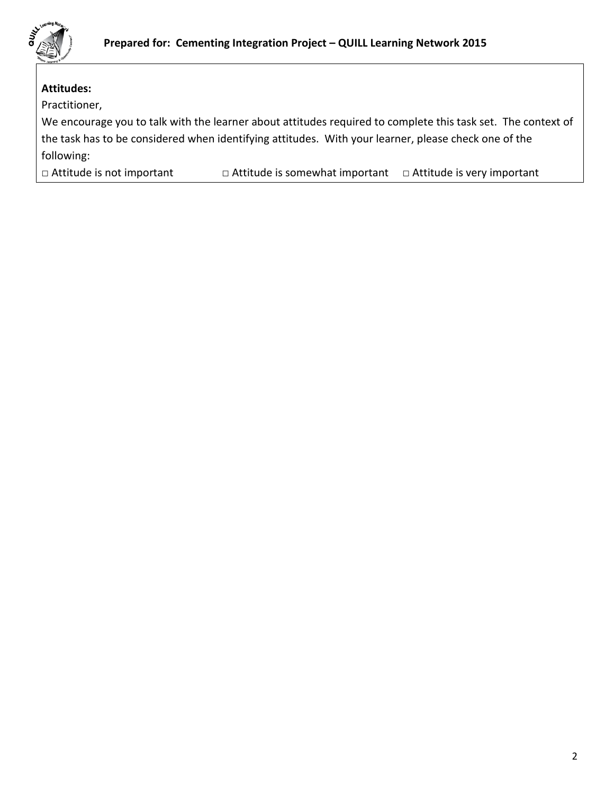

## **Attitudes:**

Practitioner,

We encourage you to talk with the learner about attitudes required to complete this task set. The context of the task has to be considered when identifying attitudes. With your learner, please check one of the following:

□ Attitude is not important □ Attitude is somewhat important □ Attitude is very important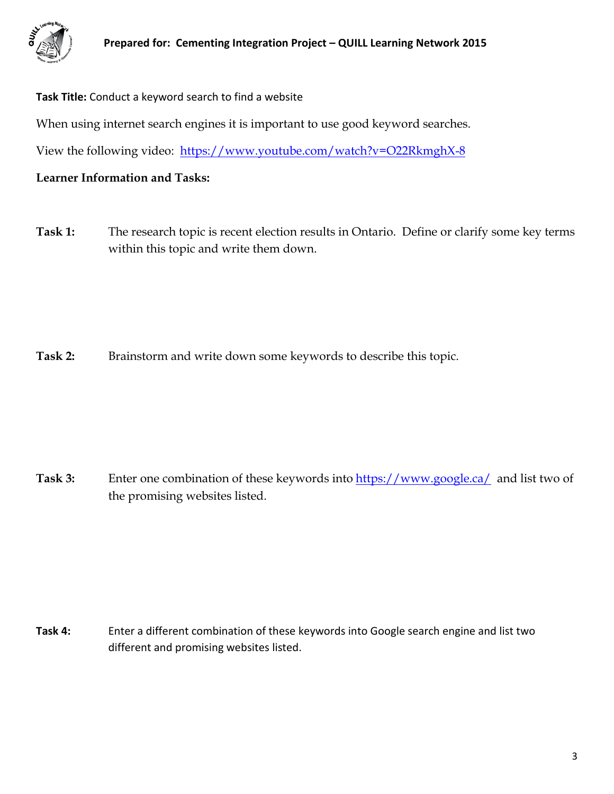

**Task Title:** Conduct a keyword search to find a website When using internet search engines it is important to use good keyword searches. View the following video: <https://www.youtube.com/watch?v=O22RkmghX-8>

**Learner Information and Tasks:**

**Task 1:** The research topic is recent election results in Ontario. Define or clarify some key terms within this topic and write them down.

Task 2: Brainstorm and write down some keywords to describe this topic.

**Task 3:** Enter one combination of these keywords into <https://www.google.ca/> and list two of the promising websites listed.

**Task 4:** Enter a different combination of these keywords into Google search engine and list two different and promising websites listed.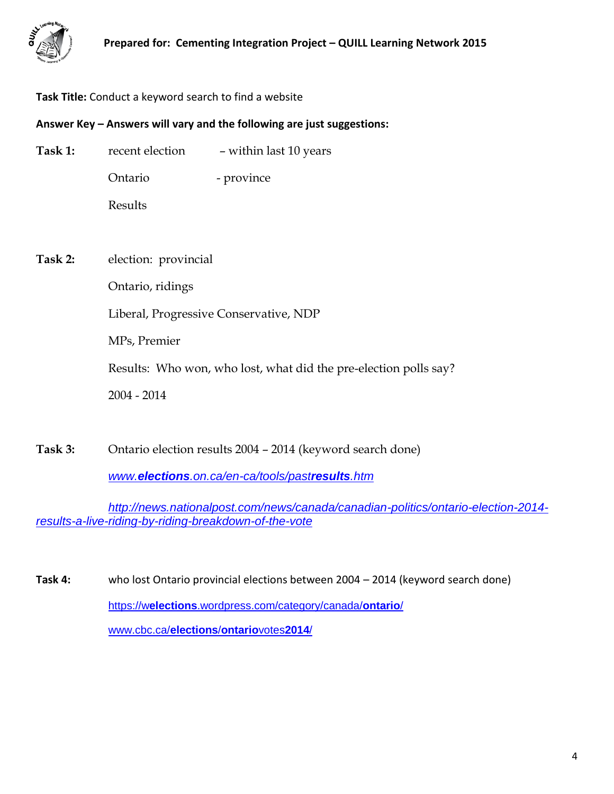

## **Task Title:** Conduct a keyword search to find a website

#### **Answer Key – Answers will vary and the following are just suggestions:**

| Task 1: | recent election      | - within last 10 years                                           |
|---------|----------------------|------------------------------------------------------------------|
|         | Ontario              | - province                                                       |
|         | Results              |                                                                  |
|         |                      |                                                                  |
| Task 2: | election: provincial |                                                                  |
|         | Ontario, ridings     |                                                                  |
|         |                      | Liberal, Progressive Conservative, NDP                           |
|         | MPs, Premier         |                                                                  |
|         |                      | Results: Who won, who lost, what did the pre-election polls say? |
|         | $2004 - 2014$        |                                                                  |
|         |                      |                                                                  |

**Task 3:** Ontario election results 2004 – 2014 (keyword search done)

*www.elections[.on.ca/en-ca/tools/past](http://www.elections.on.ca/en-ca/tools/pastresults.htm)results.htm*

*[http://news.nationalpost.com/news/canada/canadian-politics/ontario-election-2014](http://news.nationalpost.com/news/canada/canadian-politics/ontario-election-2014-results-a-live-riding-by-riding-breakdown-of-the-vote) [results-a-live-riding-by-riding-breakdown-of-the-vote](http://news.nationalpost.com/news/canada/canadian-politics/ontario-election-2014-results-a-live-riding-by-riding-breakdown-of-the-vote)*

**Task 4:** who lost Ontario provincial elections between 2004 – 2014 (keyword search done) https://w**elections**[.wordpress.com/category/canada/](https://welections.wordpress.com/category/canada/ontario/)**ontario**/ [www.cbc.ca/](http://www.cbc.ca/elections/ontariovotes2014/)**elections**/**ontario**votes**2014**/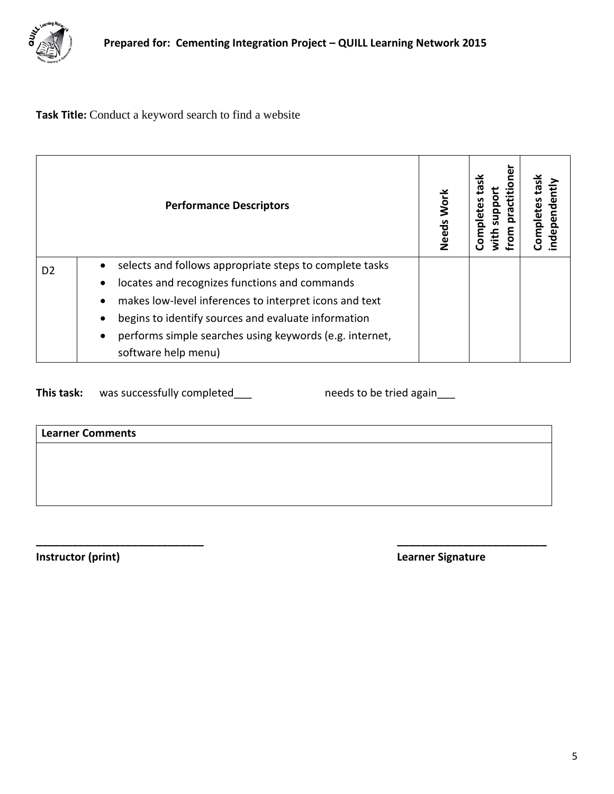

**Task Title:** Conduct a keyword search to find a website

<span id="page-4-0"></span>

| <b>Performance Descriptors</b> |                                                                      | Work<br>Needs | practitio<br>oddns<br>Complet<br>with<br>From | ndepender<br>Completes |
|--------------------------------|----------------------------------------------------------------------|---------------|-----------------------------------------------|------------------------|
| D <sub>2</sub>                 | selects and follows appropriate steps to complete tasks<br>$\bullet$ |               |                                               |                        |
|                                | locates and recognizes functions and commands<br>$\bullet$           |               |                                               |                        |
|                                | makes low-level inferences to interpret icons and text<br>$\bullet$  |               |                                               |                        |
|                                | begins to identify sources and evaluate information                  |               |                                               |                        |
|                                | performs simple searches using keywords (e.g. internet,<br>$\bullet$ |               |                                               |                        |
|                                | software help menu)                                                  |               |                                               |                        |

**\_\_\_\_\_\_\_\_\_\_\_\_\_\_\_\_\_\_\_\_\_\_\_\_\_\_\_\_ \_\_\_\_\_\_\_\_\_\_\_\_\_\_\_\_\_\_\_\_\_\_\_\_\_**

This task: was successfully completed\_\_\_ needs to be tried again\_\_\_

**Learner Comments**

<span id="page-4-1"></span>

**Instructor (print) Learner Signature**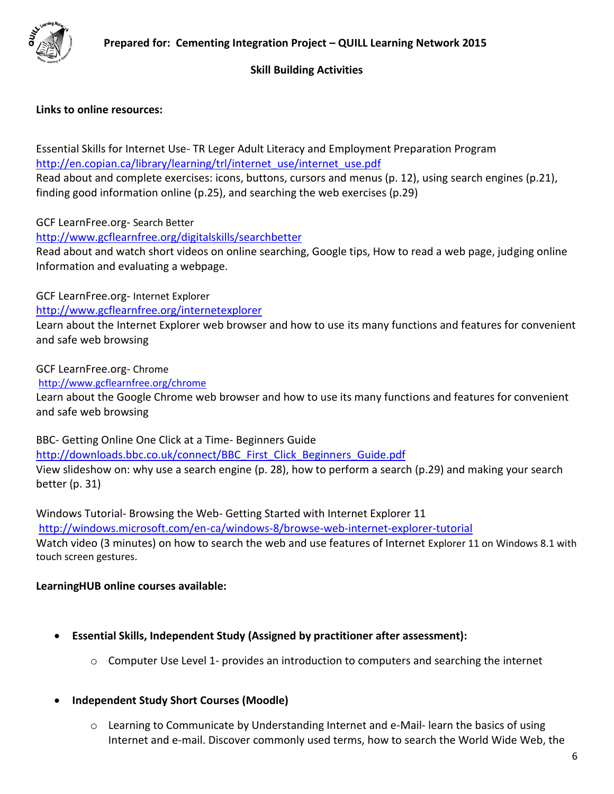

## **Skill Building Activities**

## **Links to online resources:**

Essential Skills for Internet Use- TR Leger Adult Literacy and Employment Preparation Program [http://en.copian.ca/library/learning/trl/internet\\_use/internet\\_use.pdf](http://en.copian.ca/library/learning/trl/internet_use/internet_use.pdf)

Read about and complete exercises: icons, buttons, cursors and menus (p. 12), using search engines (p.21), finding good information online (p.25), and searching the web exercises (p.29)

GCF LearnFree.org- Search Better

<http://www.gcflearnfree.org/digitalskills/searchbetter>

Read about and watch short videos on online searching, Google tips, How to read a web page, judging online Information and evaluating a webpage.

GCF LearnFree.org- Internet Explorer

<http://www.gcflearnfree.org/internetexplorer>

Learn about the Internet Explorer web browser and how to use its many functions and features for convenient and safe web browsing

GCF LearnFree.org- Chrome

<http://www.gcflearnfree.org/chrome>

Learn about the Google Chrome web browser and how to use its many functions and features for convenient and safe web browsing

BBC- Getting Online One Click at a Time- Beginners Guide

[http://downloads.bbc.co.uk/connect/BBC\\_First\\_Click\\_Beginners\\_Guide.pdf](http://downloads.bbc.co.uk/connect/BBC_First_Click_Beginners_Guide.pdf)

View slideshow on: why use a search engine (p. 28), how to perform a search (p.29) and making your search better (p. 31)

Windows Tutorial- Browsing the Web- Getting Started with Internet Explorer 11

<http://windows.microsoft.com/en-ca/windows-8/browse-web-internet-explorer-tutorial>

Watch video (3 minutes) on how to search the web and use features of Internet Explorer 11 on Windows 8.1 with touch screen gestures.

#### **LearningHUB online courses available:**

- **Essential Skills, Independent Study (Assigned by practitioner after assessment):**
	- $\circ$  Computer Use Level 1- provides an introduction to computers and searching the internet
- **Independent Study Short Courses (Moodle)**
	- $\circ$  Learning to Communicate by Understanding Internet and e-Mail- learn the basics of using Internet and e-mail. Discover commonly used terms, how to search the World Wide Web, the